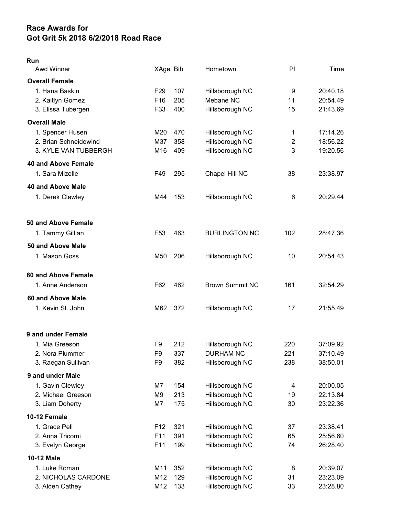## Race Awards for Got Grit 5k 2018 6/2/2018 Road Race

## Run

| Awd Winner                 | XAge Bib        |     | Hometown               | PI                      | Time     |
|----------------------------|-----------------|-----|------------------------|-------------------------|----------|
| <b>Overall Female</b>      |                 |     |                        |                         |          |
| 1. Hana Baskin             | F <sub>29</sub> | 107 | Hillsborough NC        | 9                       | 20:40.18 |
| 2. Kaitlyn Gomez           | F16             | 205 | Mebane NC              | 11                      | 20:54.49 |
| 3. Elissa Tubergen         | F33             | 400 | Hillsborough NC        | 15                      | 21:43.69 |
| <b>Overall Male</b>        |                 |     |                        |                         |          |
| 1. Spencer Husen           | M20             | 470 | Hillsborough NC        | 1                       | 17:14.26 |
| 2. Brian Schneidewind      | M37             | 358 | Hillsborough NC        | $\overline{2}$          | 18:56.22 |
| 3. KYLE VAN TUBBERGH       | M16             | 409 | Hillsborough NC        | 3                       | 19:20.56 |
| <b>40 and Above Female</b> |                 |     |                        |                         |          |
| 1. Sara Mizelle            | F49             | 295 | Chapel Hill NC         | 38                      | 23:38.97 |
| 40 and Above Male          |                 |     |                        |                         |          |
| 1. Derek Clewley           | M44             | 153 | Hillsborough NC        | 6                       | 20:29.44 |
| 50 and Above Female        |                 |     |                        |                         |          |
| 1. Tammy Gillian           | F <sub>53</sub> | 463 | <b>BURLINGTON NC</b>   | 102                     | 28:47.36 |
| 50 and Above Male          |                 |     |                        |                         |          |
| 1. Mason Goss              | M50             | 206 | Hillsborough NC        | 10                      | 20:54.43 |
| 60 and Above Female        |                 |     |                        |                         |          |
| 1. Anne Anderson           | F62             | 462 | <b>Brown Summit NC</b> | 161                     | 32:54.29 |
| 60 and Above Male          |                 |     |                        |                         |          |
| 1. Kevin St. John          | M62             | 372 | Hillsborough NC        | 17                      | 21:55.49 |
| 9 and under Female         |                 |     |                        |                         |          |
| 1. Mia Greeson             | F9              | 212 | Hillsborough NC        | 220                     | 37:09.92 |
| 2. Nora Plummer            | F <sub>9</sub>  | 337 | <b>DURHAM NC</b>       | 221                     | 37:10.49 |
| 3. Raegan Sullivan         | F9              | 382 | Hillsborough NC        | 238                     | 38:50.01 |
| 9 and under Male           |                 |     |                        |                         |          |
| 1. Gavin Clewley           | M7              | 154 | Hillsborough NC        | $\overline{\mathbf{4}}$ | 20:00.05 |
| 2. Michael Greeson         | M9              | 213 | Hillsborough NC        | 19                      | 22:13.84 |
| 3. Liam Doherty            | M7              | 175 | Hillsborough NC        | 30                      | 23:22.36 |
| 10-12 Female               |                 |     |                        |                         |          |
| 1. Grace Pell              | F <sub>12</sub> | 321 | Hillsborough NC        | 37                      | 23:38.41 |
| 2. Anna Tricomi            | F11             | 391 | Hillsborough NC        | 65                      | 25:56.60 |
| 3. Evelyn George           | F11             | 199 | Hillsborough NC        | 74                      | 26:28.40 |
| 10-12 Male                 |                 |     |                        |                         |          |
| 1. Luke Roman              | M11             | 352 | Hillsborough NC        | 8                       | 20:39.07 |
| 2. NICHOLAS CARDONE        | M12             | 129 | Hillsborough NC        | 31                      | 23:23.09 |
| 3. Alden Cathey            | M12             | 133 | Hillsborough NC        | 33                      | 23:28.80 |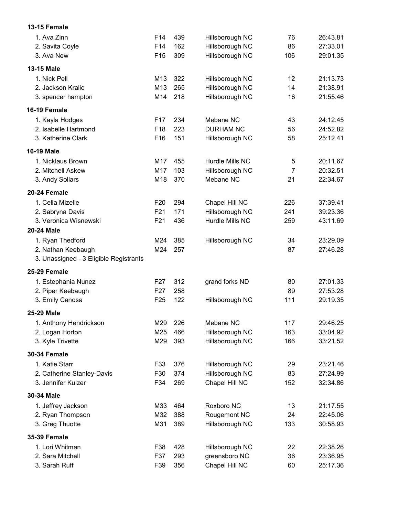| 13-15 Female                           |                 |     |                  |                |          |
|----------------------------------------|-----------------|-----|------------------|----------------|----------|
| 1. Ava Zinn                            | F14             | 439 | Hillsborough NC  | 76             | 26:43.81 |
| 2. Savita Coyle                        | F14             | 162 | Hillsborough NC  | 86             | 27:33.01 |
| 3. Ava New                             | F <sub>15</sub> | 309 | Hillsborough NC  | 106            | 29:01.35 |
| 13-15 Male                             |                 |     |                  |                |          |
| 1. Nick Pell                           | M13             | 322 | Hillsborough NC  | 12             | 21:13.73 |
| 2. Jackson Kralic                      | M13             | 265 | Hillsborough NC  | 14             | 21:38.91 |
| 3. spencer hampton                     | M14             | 218 | Hillsborough NC  | 16             | 21:55.46 |
| 16-19 Female                           |                 |     |                  |                |          |
| 1. Kayla Hodges                        | F <sub>17</sub> | 234 | Mebane NC        | 43             | 24:12.45 |
| 2. Isabelle Hartmond                   | F <sub>18</sub> | 223 | <b>DURHAM NC</b> | 56             | 24:52.82 |
| 3. Katherine Clark                     | F <sub>16</sub> | 151 | Hillsborough NC  | 58             | 25:12.41 |
| <b>16-19 Male</b>                      |                 |     |                  |                |          |
| 1. Nicklaus Brown                      | M17             | 455 | Hurdle Mills NC  | 5              | 20:11.67 |
| 2. Mitchell Askew                      | M17             | 103 | Hillsborough NC  | $\overline{7}$ | 20:32.51 |
| 3. Andy Sollars                        | M18             | 370 | Mebane NC        | 21             | 22:34.67 |
| 20-24 Female                           |                 |     |                  |                |          |
| 1. Celia Mizelle                       | F <sub>20</sub> | 294 | Chapel Hill NC   | 226            | 37:39.41 |
| 2. Sabryna Davis                       | F21             | 171 | Hillsborough NC  | 241            | 39:23.36 |
| 3. Veronica Wisnewski                  | F <sub>21</sub> | 436 | Hurdle Mills NC  | 259            | 43:11.69 |
| <b>20-24 Male</b>                      |                 |     |                  |                |          |
| 1. Ryan Thedford                       | M24             | 385 | Hillsborough NC  | 34             | 23:29.09 |
| 2. Nathan Keebaugh                     | M24             | 257 |                  | 87             | 27:46.28 |
| 3. Unassigned - 3 Eligible Registrants |                 |     |                  |                |          |
| 25-29 Female                           |                 |     |                  |                |          |
| 1. Estephania Nunez                    | F <sub>27</sub> | 312 | grand forks ND   | 80             | 27:01.33 |
| 2. Piper Keebaugh                      | F <sub>27</sub> | 258 |                  | 89             | 27:53.28 |
| 3. Emily Canosa                        | F <sub>25</sub> | 122 | Hillsborough NC  | 111            | 29:19.35 |
| 25-29 Male                             |                 |     |                  |                |          |
| 1. Anthony Hendrickson                 | M29             | 226 | Mebane NC        | 117            | 29:46.25 |
| 2. Logan Horton                        | M25             | 466 | Hillsborough NC  | 163            | 33:04.92 |
| 3. Kyle Trivette                       | M29             | 393 | Hillsborough NC  | 166            | 33:21.52 |
| <b>30-34 Female</b>                    |                 |     |                  |                |          |
| 1. Katie Starr                         | F33             | 376 | Hillsborough NC  | 29             | 23:21.46 |
| 2. Catherine Stanley-Davis             | F30             | 374 | Hillsborough NC  | 83             | 27:24.99 |
| 3. Jennifer Kulzer                     | F34             | 269 | Chapel Hill NC   | 152            | 32:34.86 |
| 30-34 Male                             |                 |     |                  |                |          |
| 1. Jeffrey Jackson                     | M33             | 464 | Roxboro NC       | 13             | 21:17.55 |
| 2. Ryan Thompson                       | M32             | 388 | Rougemont NC     | 24             | 22:45.06 |
| 3. Greg Thuotte                        | M31             | 389 | Hillsborough NC  | 133            | 30:58.93 |
| <b>35-39 Female</b>                    |                 |     |                  |                |          |
| 1. Lori Whitman                        | F38             | 428 | Hillsborough NC  | 22             | 22:38.26 |
| 2. Sara Mitchell                       | F37             | 293 | greensboro NC    | 36             | 23:36.95 |
| 3. Sarah Ruff                          | F39             | 356 | Chapel Hill NC   | 60             | 25:17.36 |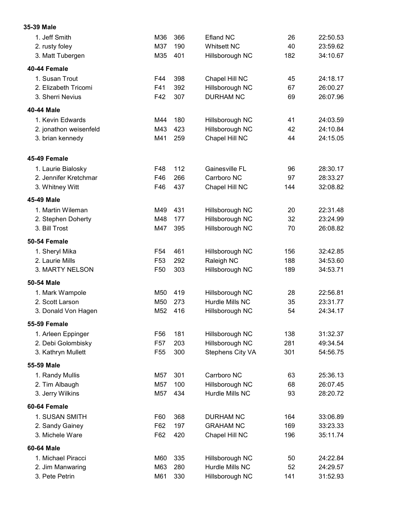## 1. Jeff Smith M36 366 Efland NC 26 22:50.53 2. rusty foley M37 190 Whitsett NC 40 23:59.62 3. Matt Tubergen M35 401 Hillsborough NC 182 34:10.67 40-44 Female 1. Susan Trout F44 398 Chapel Hill NC 45 24:18.17 2. Elizabeth Tricomi F41 392 Hillsborough NC 67 26:00.27 3. Sherri Nevius F42 307 DURHAM NC 69 26:07.96 40-44 Male 1. Kevin Edwards M44 180 Hillsborough NC 41 24:03.59 2. jonathon weisenfeld M43 423 Hillsborough NC 42 24:10.84 3. brian kennedy M41 259 Chapel Hill NC 44 24:15.05 45-49 Female 1. Laurie Bialosky F48 112 Gainesville FL 96 28:30.17 2. Jennifer Kretchmar F46 266 Carrboro NC 97 28:33.27 3. Whitney Witt F46 437 Chapel Hill NC 144 32:08.82 45-49 Male 1. Martin Wileman M49 431 Hillsborough NC 20 22:31.48 2. Stephen Doherty M48 177 Hillsborough NC 32 23:24.99 3. Bill Trost M47 395 Hillsborough NC 70 26:08.82 50-54 Female 1. Sheryl Mika F54 461 Hillsborough NC 156 32:42.85 2. Laurie Mills F53 292 Raleigh NC 188 34:53.60 3. MARTY NELSON F50 303 Hillsborough NC 189 34:53.71 50-54 Male 1. Mark Wampole M50 419 Hillsborough NC 28 22:56.81 2. Scott Larson M50 273 Hurdle Mills NC 35 23:31.77 3. Donald Von Hagen M52 416 Hillsborough NC 54 24:34.17 55-59 Female 1. Arleen Eppinger F56 181 Hillsborough NC 138 31:32.37 2. Debi Golombisky F57 203 Hillsborough NC 281 49:34.54 3. Kathryn Mullett F55 300 Stephens City VA 301 54:56.75 55-59 Male 1. Randy Mullis M57 301 Carrboro NC 63 25:36.13 2. Tim Albaugh M57 100 Hillsborough NC 68 26:07.45 3. Jerry Wilkins M57 434 Hurdle Mills NC 93 28:20.72 60-64 Female 1. SUSAN SMITH F60 368 DURHAM NC 164 33:06.89 2. Sandy Gainey **F62 197** GRAHAM NC 169 33:23.33 3. Michele Ware F62 420 Chapel Hill NC 196 35:11.74 60-64 Male 1. Michael Piracci M60 335 Hillsborough NC 50 24:22.84 2. Jim Manwaring M63 280 Hurdle Mills NC 52 24:29.57 3. Pete Petrin **M61 330** Hillsborough NC 141 31:52.93

35-39 Male